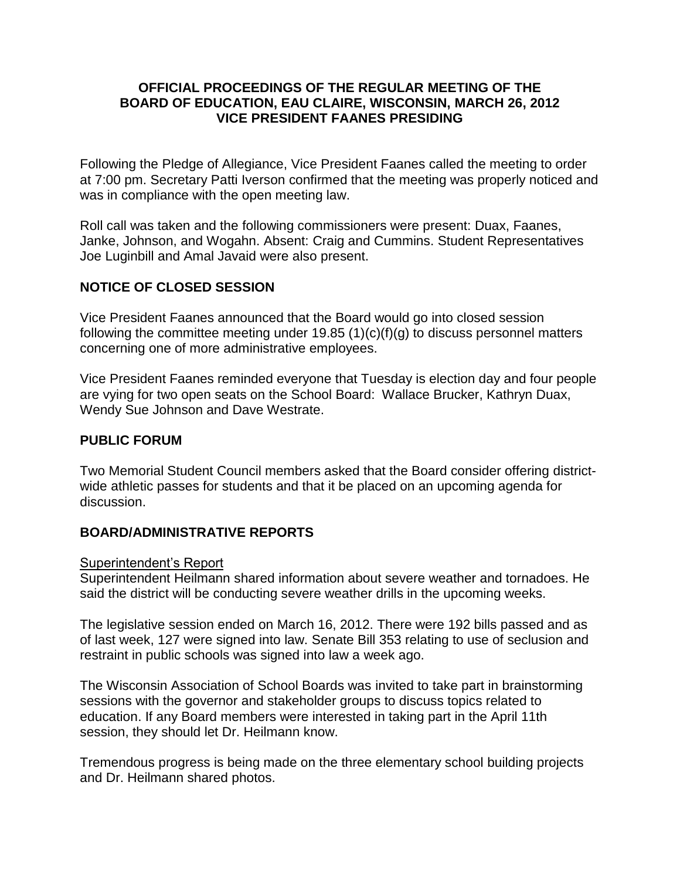### **OFFICIAL PROCEEDINGS OF THE REGULAR MEETING OF THE BOARD OF EDUCATION, EAU CLAIRE, WISCONSIN, MARCH 26, 2012 VICE PRESIDENT FAANES PRESIDING**

Following the Pledge of Allegiance, Vice President Faanes called the meeting to order at 7:00 pm. Secretary Patti Iverson confirmed that the meeting was properly noticed and was in compliance with the open meeting law.

Roll call was taken and the following commissioners were present: Duax, Faanes, Janke, Johnson, and Wogahn. Absent: Craig and Cummins. Student Representatives Joe Luginbill and Amal Javaid were also present.

# **NOTICE OF CLOSED SESSION**

Vice President Faanes announced that the Board would go into closed session following the committee meeting under 19.85  $(1)(c)(f)(g)$  to discuss personnel matters concerning one of more administrative employees.

Vice President Faanes reminded everyone that Tuesday is election day and four people are vying for two open seats on the School Board: Wallace Brucker, Kathryn Duax, Wendy Sue Johnson and Dave Westrate.

### **PUBLIC FORUM**

Two Memorial Student Council members asked that the Board consider offering districtwide athletic passes for students and that it be placed on an upcoming agenda for discussion.

### **BOARD/ADMINISTRATIVE REPORTS**

Superintendent's Report

Superintendent Heilmann shared information about severe weather and tornadoes. He said the district will be conducting severe weather drills in the upcoming weeks.

The legislative session ended on March 16, 2012. There were 192 bills passed and as of last week, 127 were signed into law. Senate Bill 353 relating to use of seclusion and restraint in public schools was signed into law a week ago.

The Wisconsin Association of School Boards was invited to take part in brainstorming sessions with the governor and stakeholder groups to discuss topics related to education. If any Board members were interested in taking part in the April 11th session, they should let Dr. Heilmann know.

Tremendous progress is being made on the three elementary school building projects and Dr. Heilmann shared photos.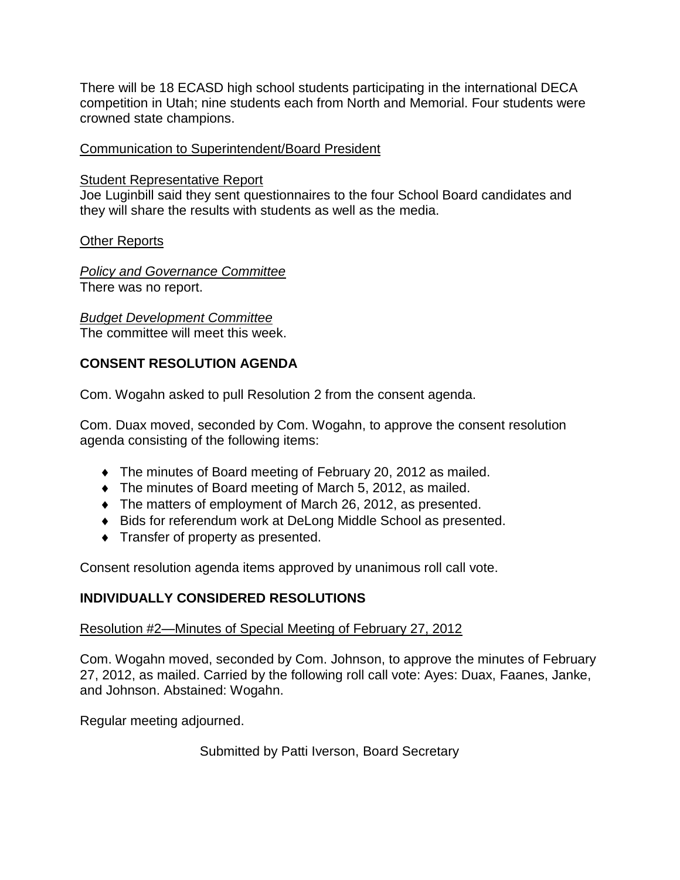There will be 18 ECASD high school students participating in the international DECA competition in Utah; nine students each from North and Memorial. Four students were crowned state champions.

### Communication to Superintendent/Board President

### Student Representative Report

Joe Luginbill said they sent questionnaires to the four School Board candidates and they will share the results with students as well as the media.

# Other Reports

*Policy and Governance Committee* There was no report.

*Budget Development Committee* The committee will meet this week.

# **CONSENT RESOLUTION AGENDA**

Com. Wogahn asked to pull Resolution 2 from the consent agenda.

Com. Duax moved, seconded by Com. Wogahn, to approve the consent resolution agenda consisting of the following items:

- The minutes of Board meeting of February 20, 2012 as mailed.
- The minutes of Board meeting of March 5, 2012, as mailed.
- The matters of employment of March 26, 2012, as presented.
- Bids for referendum work at DeLong Middle School as presented.
- **Transfer of property as presented.**

Consent resolution agenda items approved by unanimous roll call vote.

# **INDIVIDUALLY CONSIDERED RESOLUTIONS**

# Resolution #2—Minutes of Special Meeting of February 27, 2012

Com. Wogahn moved, seconded by Com. Johnson, to approve the minutes of February 27, 2012, as mailed. Carried by the following roll call vote: Ayes: Duax, Faanes, Janke, and Johnson. Abstained: Wogahn.

Regular meeting adjourned.

Submitted by Patti Iverson, Board Secretary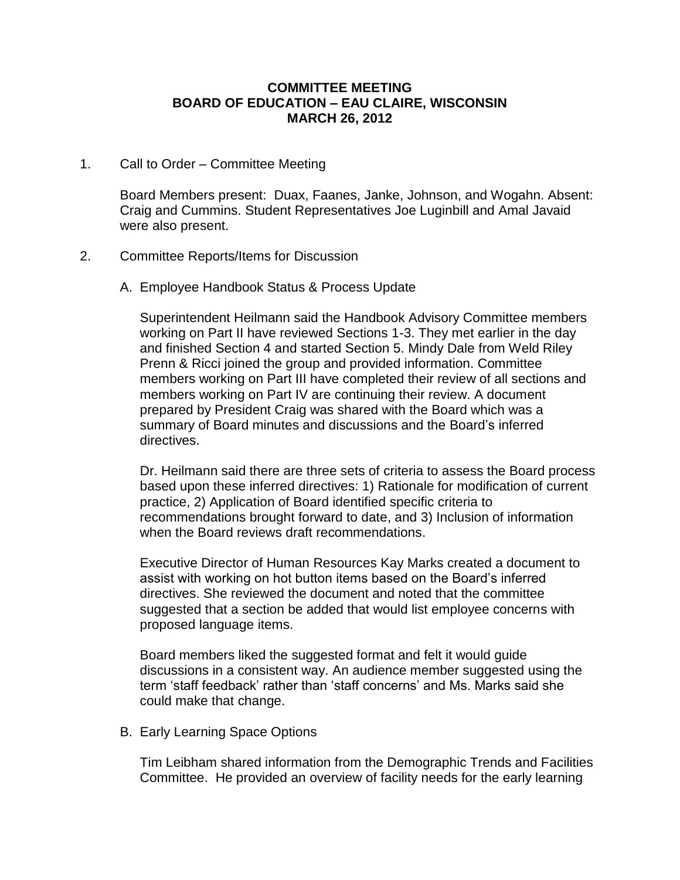#### **COMMITTEE MEETING BOARD OF EDUCATION – EAU CLAIRE, WISCONSIN MARCH 26, 2012**

1. Call to Order – Committee Meeting

Board Members present: Duax, Faanes, Janke, Johnson, and Wogahn. Absent: Craig and Cummins. Student Representatives Joe Luginbill and Amal Javaid were also present.

- 2. Committee Reports/Items for Discussion
	- A. Employee Handbook Status & Process Update

Superintendent Heilmann said the Handbook Advisory Committee members working on Part II have reviewed Sections 1-3. They met earlier in the day and finished Section 4 and started Section 5. Mindy Dale from Weld Riley Prenn & Ricci joined the group and provided information. Committee members working on Part III have completed their review of all sections and members working on Part IV are continuing their review. A document prepared by President Craig was shared with the Board which was a summary of Board minutes and discussions and the Board's inferred directives.

Dr. Heilmann said there are three sets of criteria to assess the Board process based upon these inferred directives: 1) Rationale for modification of current practice, 2) Application of Board identified specific criteria to recommendations brought forward to date, and 3) Inclusion of information when the Board reviews draft recommendations.

Executive Director of Human Resources Kay Marks created a document to assist with working on hot button items based on the Board's inferred directives. She reviewed the document and noted that the committee suggested that a section be added that would list employee concerns with proposed language items.

Board members liked the suggested format and felt it would guide discussions in a consistent way. An audience member suggested using the term 'staff feedback' rather than 'staff concerns' and Ms. Marks said she could make that change.

B. Early Learning Space Options

Tim Leibham shared information from the Demographic Trends and Facilities Committee. He provided an overview of facility needs for the early learning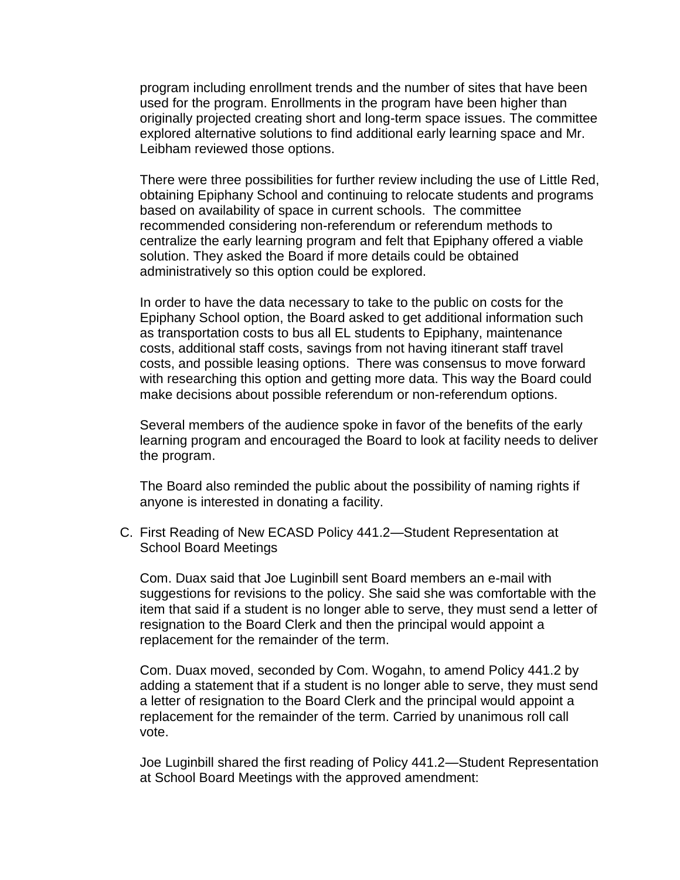program including enrollment trends and the number of sites that have been used for the program. Enrollments in the program have been higher than originally projected creating short and long-term space issues. The committee explored alternative solutions to find additional early learning space and Mr. Leibham reviewed those options.

There were three possibilities for further review including the use of Little Red, obtaining Epiphany School and continuing to relocate students and programs based on availability of space in current schools. The committee recommended considering non-referendum or referendum methods to centralize the early learning program and felt that Epiphany offered a viable solution. They asked the Board if more details could be obtained administratively so this option could be explored.

In order to have the data necessary to take to the public on costs for the Epiphany School option, the Board asked to get additional information such as transportation costs to bus all EL students to Epiphany, maintenance costs, additional staff costs, savings from not having itinerant staff travel costs, and possible leasing options. There was consensus to move forward with researching this option and getting more data. This way the Board could make decisions about possible referendum or non-referendum options.

Several members of the audience spoke in favor of the benefits of the early learning program and encouraged the Board to look at facility needs to deliver the program.

The Board also reminded the public about the possibility of naming rights if anyone is interested in donating a facility.

C. First Reading of New ECASD Policy 441.2—Student Representation at School Board Meetings

Com. Duax said that Joe Luginbill sent Board members an e-mail with suggestions for revisions to the policy. She said she was comfortable with the item that said if a student is no longer able to serve, they must send a letter of resignation to the Board Clerk and then the principal would appoint a replacement for the remainder of the term.

Com. Duax moved, seconded by Com. Wogahn, to amend Policy 441.2 by adding a statement that if a student is no longer able to serve, they must send a letter of resignation to the Board Clerk and the principal would appoint a replacement for the remainder of the term. Carried by unanimous roll call vote.

Joe Luginbill shared the first reading of Policy 441.2—Student Representation at School Board Meetings with the approved amendment: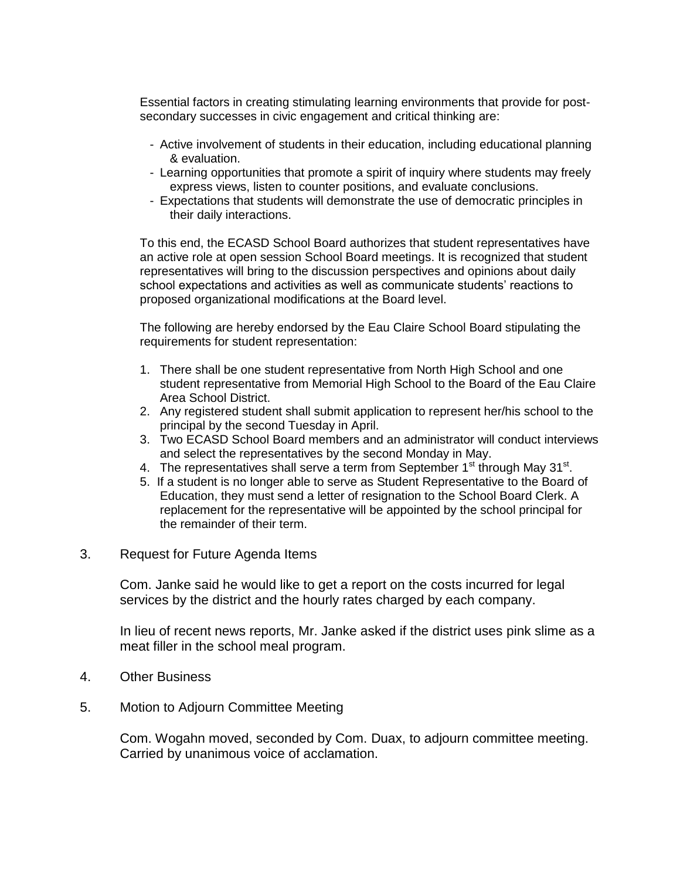Essential factors in creating stimulating learning environments that provide for postsecondary successes in civic engagement and critical thinking are:

- Active involvement of students in their education, including educational planning & evaluation.
- Learning opportunities that promote a spirit of inquiry where students may freely express views, listen to counter positions, and evaluate conclusions.
- Expectations that students will demonstrate the use of democratic principles in their daily interactions.

To this end, the ECASD School Board authorizes that student representatives have an active role at open session School Board meetings. It is recognized that student representatives will bring to the discussion perspectives and opinions about daily school expectations and activities as well as communicate students' reactions to proposed organizational modifications at the Board level.

The following are hereby endorsed by the Eau Claire School Board stipulating the requirements for student representation:

- 1. There shall be one student representative from North High School and one student representative from Memorial High School to the Board of the Eau Claire Area School District.
- 2. Any registered student shall submit application to represent her/his school to the principal by the second Tuesday in April.
- 3. Two ECASD School Board members and an administrator will conduct interviews and select the representatives by the second Monday in May.
- 4. The representatives shall serve a term from September  $1<sup>st</sup>$  through May 31 $<sup>st</sup>$ .</sup>
- 5. If a student is no longer able to serve as Student Representative to the Board of Education, they must send a letter of resignation to the School Board Clerk. A replacement for the representative will be appointed by the school principal for the remainder of their term.
- 3. Request for Future Agenda Items

Com. Janke said he would like to get a report on the costs incurred for legal services by the district and the hourly rates charged by each company.

In lieu of recent news reports, Mr. Janke asked if the district uses pink slime as a meat filler in the school meal program.

- 4. Other Business
- 5. Motion to Adjourn Committee Meeting

Com. Wogahn moved, seconded by Com. Duax, to adjourn committee meeting. Carried by unanimous voice of acclamation.